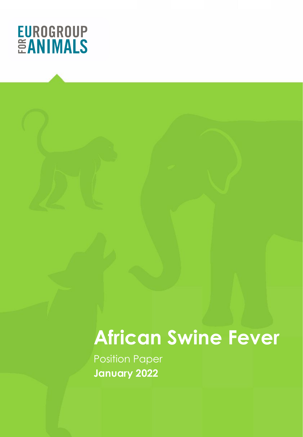

Position Paper **January 2022**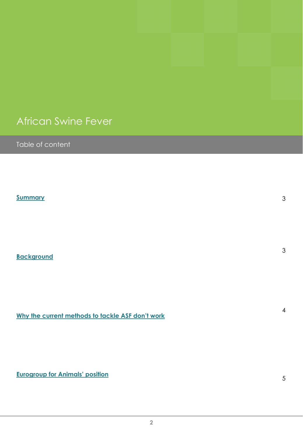Table of content

**[Summary](#page-2-0)**

**[Background](#page-2-0)**

**[Why the current methods to tackle ASF don't work](#page-3-0)**

**[Eurogroup for Animals' position](#page-4-0)**

3

3

4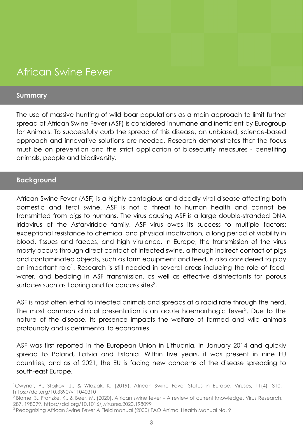#### <span id="page-2-0"></span>**Summary**

The use of massive hunting of wild boar populations as a main approach to limit further spread of African Swine Fever (ASF) is considered inhumane and inefficient by Eurogroup for Animals. To successfully curb the spread of this disease, an unbiased, science-based approach and innovative solutions are needed. Research demonstrates that the focus must be on prevention and the strict application of biosecurity measures - benefiting animals, people and biodiversity.

#### **Background**

African Swine Fever (ASF) is a highly contagious and deadly viral disease affecting both domestic and feral swine. ASF is not a threat to human health and cannot be transmitted from pigs to humans. The virus causing ASF is a large double-stranded DNA Iridovirus of the Asfarviridae family. ASF virus owes its success to multiple factors: exceptional resistance to chemical and physical inactivation, a long period of viability in blood, tissues and faeces, and high virulence. In Europe, the transmission of the virus mostly occurs through direct contact of infected swine, although indirect contact of pigs and contaminated objects, such as farm equipment and feed, is also considered to play an important role<sup>1</sup>. Research is still needed in several areas including the role of feed, water, and bedding in ASF transmission, as well as effective disinfectants for porous surfaces such as flooring and for carcass sites $^2$ .

ASF is most often lethal to infected animals and spreads at a rapid rate through the herd. The most common clinical presentation is an acute haemorrhagic fever<sup>3</sup>. Due to the nature of the disease, its presence impacts the welfare of farmed and wild animals profoundly and is detrimental to economies.

ASF was first reported in the European Union in Lithuania, in January 2014 and quickly spread to Poland, Latvia and Estonia. Within five years, it was present in nine EU countries, and as of 2021, the EU is facing new concerns of the disease spreading to south-east Europe.

<sup>1</sup>Cwynar, P., Stojkov, J., & Wlazlak, K. (2019). African Swine Fever Status in Europe. Viruses, 11(4), 310. https://doi.org/10.3390/v11040310

<sup>2</sup> Blome, S., Franzke, K., & Beer, M. (2020). African swine fever – A review of current knowledge. Virus Research, 287, 198099. https://doi.org/10.1016/j.virusres.2020.198099

<sup>&</sup>lt;sup>3</sup> Recognizing African Swine Fever A Field manual (2000) FAO Animal Health Manual No. 9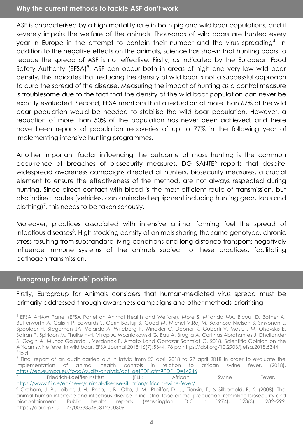#### <span id="page-3-0"></span>**Why the current methods to tackle ASF don't work**

ASF is characterised by a high mortality rate in both pig and wild boar populations, and it severely impairs the welfare of the animals. Thousands of wild boars are hunted every year in Europe in the attempt to contain their number and the virus spreading<sup>4</sup>. In addition to the negative effects on the animals, science has shown that hunting boars to reduce the spread of ASF is not effective. Firstly, as indicated by the European Food Safety Authority (EFSA)<sup>5</sup>, ASF can occur both in areas of high and very low wild boar density. This indicates that reducing the density of wild boar is not a successful approach to curb the spread of the disease. Measuring the impact of hunting as a control measure is troublesome due to the fact that the density of the wild boar population can never be exactly evaluated. Second, EFSA mentions that a reduction of more than 67% of the wild boar population would be needed to stabilise the wild boar population. However, a reduction of more than 50% of the population has never been achieved, and there have been reports of population recoveries of up to 77% in the following year of implementing intensive hunting programmes.

Another important factor influencing the outcome of mass hunting is the common occurrence of breaches of biosecurity measures. DG SANTE<sup>6</sup> reports that despite widespread awareness campaigns directed at hunters, biosecurity measures, a crucial element to ensure the effectiveness of the method, are not always respected during hunting. Since direct contact with blood is the most efficient route of transmission, but also indirect routes (vehicles, contaminated equipment including hunting gear, tools and clothing)<sup>7</sup>, this needs to be taken seriously.

Moreover, practices associated with intensive animal farming fuel the spread of infectious diseases<sup>8</sup>. High stocking density of animals sharing the same genotype, chronic stress resulting from substandard living conditions and long-distance transports negatively influence immune systems of the animals subject to these practices, facilitating pathogen transmission.

#### **Eurogroup for Animals' position**

Firstly, Eurogroup for Animals considers that human-mediated virus spread must be primarily addressed through awareness campaigns and other methods prioritising

4 EFSA AHAW Panel (EFSA Panel on Animal Health and Welfare), More S, Miranda MA, Bicout D, Bøtner A, Butterworth A, Calistri P, Edwards S, Garin-Bastuji B, Good M, Michel V,Raj M, Saxmose Nielsen S, Sihvonen L, Spoolder H, Stegeman JA, Velarde A, Willeberg P, Winckler C, Depner K, Guberti V, Masiulis M, Olsevskis E, Satran P, Spiridon M, Thulke H-H, Vilrop A, Wozniakowski G, Bau A, Broglia A, Cortinas Abrahantes J, Dhollander S, Gogin A, Munoz Gajardo I, Verdonck F, Amato Land Gortazar Schmidt C, 2018. Scientific Opinion on the African swine fever in wild boar. EFSA Journal 2018;16(7):5344, 78 pp https://doi.org/10.2903/j.efsa.2018.5344  $<sup>5</sup>$  ibid.</sup>

6 Final report of an audit carried out in latvia from 23 april 2018 to 27 april 2018 in order to evaluate the implementation of animal health controls in relation to african swine fever. (2018). [https://ec.europa.eu/food/audits-analysis/act\\_getPDF.cfm?PDF\\_ID=14246](https://ec.europa.eu/food/audits-analysis/act_getPDF.cfm?PDF_ID=14246)

7 Friedrich-Loeffler-Institut (FLI): African Swine Fever. <https://www.fli.de/en/news/animal-disease-situation/african-swine-fever/>

8 Graham, J. P., Leibler, J. H., Price, L. B., Otte, J. M., Pfeiffer, D. U., Tiensin, T., & Silbergeld, E. K. (2008). The animal-human interface and infectious disease in industrial food animal production: rethinking biosecurity and biocontainment. Public health reports (Washington, D.C. : 1974), 123(3), 282–299. https://doi.org/10.1177/003335490812300309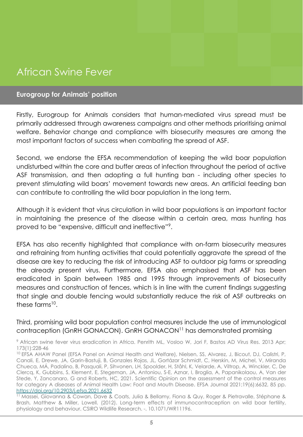### <span id="page-4-0"></span>**Eurogroup for Animals' position**

Firstly, Eurogroup for Animals considers that human-mediated virus spread must be primarily addressed through awareness campaigns and other methods prioritising animal welfare. Behavior change and compliance with biosecurity measures are among the most important factors of success when combating the spread of ASF.

Second, we endorse the EFSA recommendation of keeping the wild boar population undisturbed within the core and buffer areas of infection throughout the period of active ASF transmission, and then adopting a full hunting ban - including other species to prevent stimulating wild boars' movement towards new areas. An artificial feeding ban can contribute to controlling the wild boar population in the long term.

Although it is evident that virus circulation in wild boar populations is an important factor in maintaining the presence of the disease within a certain area, mass hunting has proved to be "expensive, difficult and ineffective"<sup>9</sup> .

EFSA has also recently highlighted that compliance with on-farm biosecurity measures and refraining from hunting activities that could potentially aggravate the spread of the disease are key to reducing the risk of introducing ASF to outdoor pig farms or spreading the already present virus. Furthermore, EFSA also emphasised that ASF has been eradicated in Spain between 1985 and 1995 through improvements of biosecurity measures and construction of fences, which is in line with the current findings suggesting that single and double fencing would substantially reduce the risk of ASF outbreaks on these farms<sup>10</sup>.

Third, promising wild boar population control measures include the use of immunological contraception (GnRH GONACON). GnRH GONACON11 has demonstrated promising

<sup>9</sup> African swine fever virus eradication in Africa. Penrith ML, Vosloo W, Jori F, Bastos AD Virus Res. 2013 Apr; 173(1):228-46

<sup>&</sup>lt;sup>10</sup> EFSA AHAW Panel (EFSA Panel on Animal Health and Welfare), Nielsen, SS, Alvarez, J, Bicout, DJ, Calistri, P, Canali, E, Drewe, JA, Garin-Bastuji, B, Gonzales Rojas, JL, Gortázar Schmidt, C, Herskin, M, Michel, V, Miranda Chueca, MÁ, Padalino, B, Pasquali, P, Sihvonen, LH, Spoolder, H, Ståhl, K, Velarde, A, Viltrop, A, Winckler, C, De Clercq, K, Gubbins, S, Klement, E, Stegeman, JA, Antoniou, S-E, Aznar, I, Broglia, A, Papanikolaou, A, Van der Stede, Y, Zancanaro, G and Roberts, HC, 2021. Scientific Opinion on the assessment of the control measures for category A diseases of Animal Health Law: Foot and Mouth Disease. EFSA Journal 2021;19(6):6632, 85 pp. <https://doi.org/10.2903/j.efsa.2021.6632>

<sup>11</sup> Massei, Giovanna & Cowan, Dave & Coats, Julia & Bellamy, Fiona & Quy, Roger & Pietravalle, Stéphane & Brash, Matthew & Miller, Lowell. (2012). Long-term effects of immunocontraception on wild boar fertility, physiology and behaviour. CSIRO Wildlife Research. -. 10.1071/WR11196.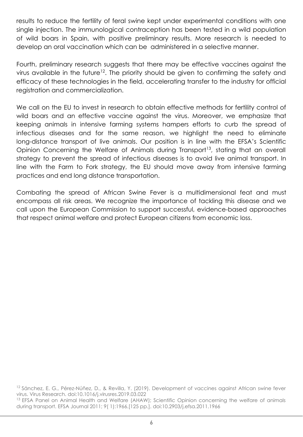results to reduce the fertility of feral swine kept under experimental conditions with one single injection. The immunological contraception has been tested in a wild population of wild boars in Spain, with positive preliminary results. More research is needed to develop an oral vaccination which can be administered in a selective manner.

Fourth, preliminary research suggests that there may be effective vaccines against the virus available in the future<sup>12</sup>. The priority should be given to confirming the safety and efficacy of these technologies in the field, accelerating transfer to the industry for official registration and commercialization.

We call on the EU to invest in research to obtain effective methods for fertility control of wild boars and an effective vaccine against the virus. Moreover, we emphasize that keeping animals in intensive farming systems hampers efforts to curb the spread of infectious diseases and for the same reason, we highlight the need to eliminate long-distance transport of live animals. Our position is in line with the EFSA's Scientific Opinion Concerning the Welfare of Animals during Transport<sup>13</sup>, stating that an overall strategy to prevent the spread of infectious diseases is to avoid live animal transport. In line with the Farm to Fork strategy, the EU should move away from intensive farming practices and end long distance transportation.

Combating the spread of African Swine Fever is a multidimensional feat and must encompass all risk areas. We recognize the importance of tackling this disease and we call upon the European Commission to support successful, evidence-based approaches that respect animal welfare and protect European citizens from economic loss.

<sup>12</sup> Sánchez, E. G., Pérez-Núñez, D., & Revilla, Y. (2019). Development of vaccines against African swine fever virus. Virus Research. doi:10.1016/j.virusres.2019.03.022 <sup>13</sup> EFSA Panel on Animal Health and Welfare (AHAW); Scientific Opinion concerning the welfare of animals during transport. EFSA Journal 2011; 9( 1):1966.[125 pp.]. doi:10.2903/j.efsa.2011.1966